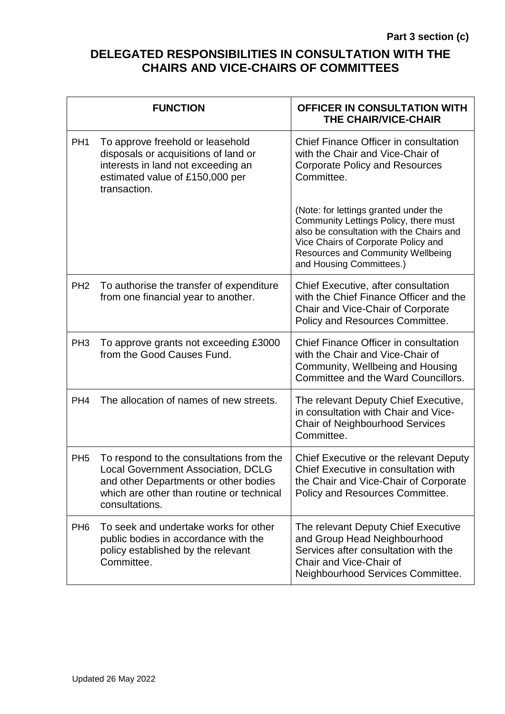## **DELEGATED RESPONSIBILITIES IN CONSULTATION WITH THE CHAIRS AND VICE-CHAIRS OF COMMITTEES**

|                 | <b>FUNCTION</b>                                                                                                                                                                               | OFFICER IN CONSULTATION WITH<br>THE CHAIR/VICE-CHAIR                                                                                                                                                                                      |
|-----------------|-----------------------------------------------------------------------------------------------------------------------------------------------------------------------------------------------|-------------------------------------------------------------------------------------------------------------------------------------------------------------------------------------------------------------------------------------------|
| PH <sub>1</sub> | To approve freehold or leasehold<br>disposals or acquisitions of land or<br>interests in land not exceeding an<br>estimated value of £150,000 per<br>transaction.                             | Chief Finance Officer in consultation<br>with the Chair and Vice-Chair of<br><b>Corporate Policy and Resources</b><br>Committee.                                                                                                          |
|                 |                                                                                                                                                                                               | (Note: for lettings granted under the<br>Community Lettings Policy, there must<br>also be consultation with the Chairs and<br>Vice Chairs of Corporate Policy and<br><b>Resources and Community Wellbeing</b><br>and Housing Committees.) |
| PH <sub>2</sub> | To authorise the transfer of expenditure<br>from one financial year to another.                                                                                                               | Chief Executive, after consultation<br>with the Chief Finance Officer and the<br>Chair and Vice-Chair of Corporate<br>Policy and Resources Committee.                                                                                     |
| PH <sub>3</sub> | To approve grants not exceeding £3000<br>from the Good Causes Fund.                                                                                                                           | Chief Finance Officer in consultation<br>with the Chair and Vice-Chair of<br>Community, Wellbeing and Housing<br>Committee and the Ward Councillors.                                                                                      |
| PH <sub>4</sub> | The allocation of names of new streets.                                                                                                                                                       | The relevant Deputy Chief Executive,<br>in consultation with Chair and Vice-<br><b>Chair of Neighbourhood Services</b><br>Committee.                                                                                                      |
| PH <sub>5</sub> | To respond to the consultations from the<br><b>Local Government Association, DCLG</b><br>and other Departments or other bodies<br>which are other than routine or technical<br>consultations. | Chief Executive or the relevant Deputy<br>Chief Executive in consultation with<br>the Chair and Vice-Chair of Corporate<br>Policy and Resources Committee.                                                                                |
| PH <sub>6</sub> | To seek and undertake works for other<br>public bodies in accordance with the<br>policy established by the relevant<br>Committee.                                                             | The relevant Deputy Chief Executive<br>and Group Head Neighbourhood<br>Services after consultation with the<br>Chair and Vice-Chair of<br>Neighbourhood Services Committee.                                                               |